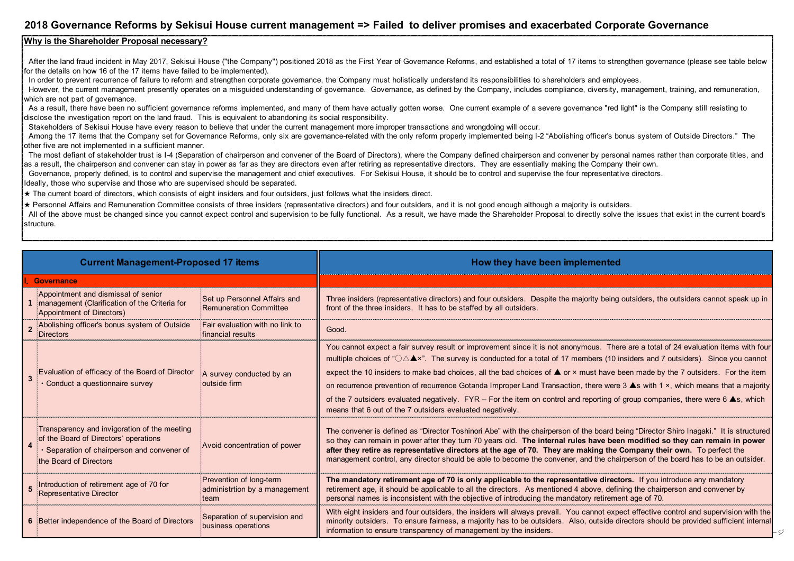## **2018 Governance Reforms by Sekisui House current management => Failed to deliver promises and exacerbated Corporate Governance**

## **Why is the Shareholder Proposal necessary?**

After the land fraud incident in May 2017, Sekisui House ("the Company") positioned 2018 as the First Year of Governance Reforms, and established a total of 17 items to strengthen governance (please see table below for the details on how 16 of the 17 items have failed to be implemented).

In order to prevent recurrence of failure to reform and strengthen corporate governance, the Company must holistically understand its responsibilities to shareholders and employees.

However, the current management presently operates on a misguided understanding of governance. Governance, as defined by the Company, includes compliance, diversity, management, training, and remuneration, which are not part of governance.

As a result, there have been no sufficient governance reforms implemented, and many of them have actually gotten worse. One current example of a severe governance "red light" is the Company still resisting to disclose the investigation report on the land fraud. This is equivalent to abandoning its social responsibility.

Stakeholders of Sekisui House have every reason to believe that under the current management more improper transactions and wrongdoing will occur.

Among the 17 items that the Company set for Governance Reforms, only six are governance-related with the only reform properly implemented being I-2 "Abolishing officer's bonus system of Outside Directors." The other five are not implemented in a sufficient manner.

 The most defiant of stakeholder trust is I-4 (Separation of chairperson and convener of the Board of Directors), where the Company defined chairperson and convener by personal names rather than corporate titles, and as a result, the chairperson and convener can stay in power as far as they are directors even after retiring as representative directors. They are essentially making the Company their own.

Governance, properly defined, is to control and supervise the management and chief executives. For Sekisui House, it should be to control and supervise the four representative directors.

Ideally, those who supervise and those who are supervised should be separated.

★ The current board of directors, which consists of eight insiders and four outsiders, just follows what the insiders direct.

★ Personnel Affairs and Remuneration Committee consists of three insiders (representative directors) and four outsiders, and it is not good enough although a majority is outsiders.

All of the above must be changed since you cannot expect control and supervision to be fully functional. As a result, we have made the Shareholder Proposal to directly solve the issues that exist in the current board's structure.

| <b>Current Management-Proposed 17 items</b>                                                                                                                                                  | How they have been implemented                                                                                                                                                                                                                                                                                                                                                                                                                                                                                                                                                                                                                                                                                                                                                            |
|----------------------------------------------------------------------------------------------------------------------------------------------------------------------------------------------|-------------------------------------------------------------------------------------------------------------------------------------------------------------------------------------------------------------------------------------------------------------------------------------------------------------------------------------------------------------------------------------------------------------------------------------------------------------------------------------------------------------------------------------------------------------------------------------------------------------------------------------------------------------------------------------------------------------------------------------------------------------------------------------------|
| Governance                                                                                                                                                                                   |                                                                                                                                                                                                                                                                                                                                                                                                                                                                                                                                                                                                                                                                                                                                                                                           |
| Appointment and dismissal of senior<br>Set up Personnel Affairs and<br>management (Clarification of the Criteria for<br><b>Remuneration Committee</b><br>Appointment of Directors)           | Three insiders (representative directors) and four outsiders. Despite the majority being outsiders, the outsiders cannot speak up in<br>front of the three insiders. It has to be staffed by all outsiders.                                                                                                                                                                                                                                                                                                                                                                                                                                                                                                                                                                               |
| Abolishing officer's bonus system of Outside<br>Fair evaluation with no link to<br>financial results<br>Directors                                                                            | Good.                                                                                                                                                                                                                                                                                                                                                                                                                                                                                                                                                                                                                                                                                                                                                                                     |
| Evaluation of efficacy of the Board of Director<br>A survey conducted by an<br>outside firm<br>Conduct a questionnaire survey                                                                | You cannot expect a fair survey result or improvement since it is not anonymous. There are a total of 24 evaluation items with four<br>multiple choices of " $\bigcirc \Delta \blacktriangle$ ". The survey is conducted for a total of 17 members (10 insiders and 7 outsiders). Since you cannot<br>expect the 10 insiders to make bad choices, all the bad choices of $\triangle$ or $\times$ must have been made by the 7 outsiders. For the item<br>on recurrence prevention of recurrence Gotanda Improper Land Transaction, there were 3 ▲s with 1 ×, which means that a majority<br>of the 7 outsiders evaluated negatively. FYR -- For the item on control and reporting of group companies, there were 6 As, which<br>means that 6 out of the 7 outsiders evaluated negatively. |
| Transparency and invigoration of the meeting<br>of the Board of Directors' operations<br>Avoid concentration of power<br>Separation of chairperson and convener of<br>the Board of Directors | The convener is defined as "Director Toshinori Abe" with the chairperson of the board being "Director Shiro Inagaki." It is structured<br>so they can remain in power after they turn 70 years old. The internal rules have been modified so they can remain in power<br>after they retire as representative directors at the age of 70. They are making the Company their own. To perfect the<br>management control, any director should be able to become the convener, and the chairperson of the board has to be an outsider.                                                                                                                                                                                                                                                         |
| Prevention of long-term<br>Introduction of retirement age of 70 for<br>administrtion by a management<br><b>Representative Director</b><br>team                                               | The mandatory retirement age of 70 is only applicable to the representative directors. If you introduce any mandatory<br>retirement age, it should be applicable to all the directors. As mentioned 4 above, defining the chairperson and convener by<br>personal names is inconsistent with the objective of introducing the mandatory retirement age of 70.                                                                                                                                                                                                                                                                                                                                                                                                                             |
| Separation of supervision and<br>6 Better independence of the Board of Directors<br>business operations                                                                                      | With eight insiders and four outsiders, the insiders will always prevail. You cannot expect effective control and supervision with the<br>minority outsiders. To ensure fairness, a majority has to be outsiders. Also, outside directors should be provided sufficient internal<br>information to ensure transparency of management by the insiders.                                                                                                                                                                                                                                                                                                                                                                                                                                     |